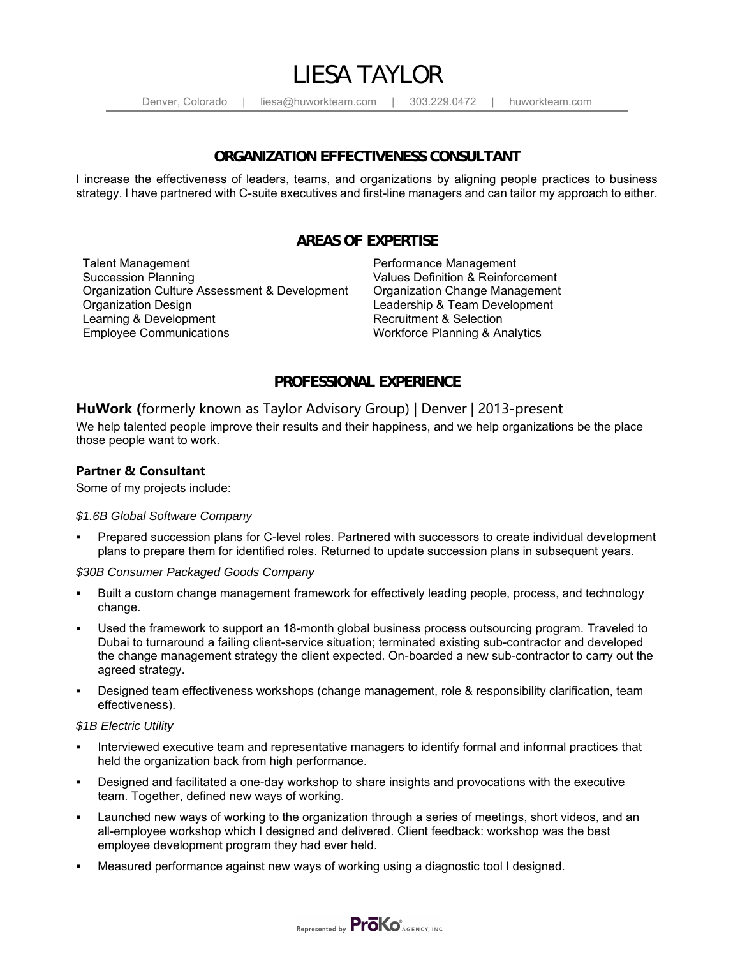

Denver, Colorado | liesa@huworkteam.com | 303.229.0472 | huworkteam.com

#### **ORGANIZATION EFFECTIVENESS CONSULTANT**

I increase the effectiveness of leaders, teams, and organizations by aligning people practices to business strategy. I have partnered with C-suite executives and first-line managers and can tailor my approach to either.

### **AREAS OF EXPERTISE**

Talent Management **Performance Management** Succession Planning Values Definition & Reinforcement Organization Culture Assessment & Development Organization Change Management Learning & Development<br>Employee Communications

Leadership & Team Development<br>Recruitment & Selection Workforce Planning & Analytics

## **PROFESSIONAL EXPERIENCE**

### **HuWork (**formerly known as Taylor Advisory Group) | Denver | 2013-present

We help talented people improve their results and their happiness, and we help organizations be the place those people want to work.

#### **Partner & Consultant**

Some of my projects include:

#### *\$1.6B Global Software Company*

Prepared succession plans for C-level roles. Partnered with successors to create individual development plans to prepare them for identified roles. Returned to update succession plans in subsequent years.

*\$30B Consumer Packaged Goods Company*

- Built a custom change management framework for effectively leading people, process, and technology change.
- Used the framework to support an 18-month global business process outsourcing program. Traveled to Dubai to turnaround a failing client-service situation; terminated existing sub-contractor and developed the change management strategy the client expected. On-boarded a new sub-contractor to carry out the agreed strategy.
- Designed team effectiveness workshops (change management, role & responsibility clarification, team effectiveness).

#### *\$1B Electric Utility*

- Interviewed executive team and representative managers to identify formal and informal practices that held the organization back from high performance.
- Designed and facilitated a one-day workshop to share insights and provocations with the executive team. Together, defined new ways of working.
- Launched new ways of working to the organization through a series of meetings, short videos, and an all-employee workshop which I designed and delivered. Client feedback: workshop was the best employee development program they had ever held.
- Measured performance against new ways of working using a diagnostic tool I designed.

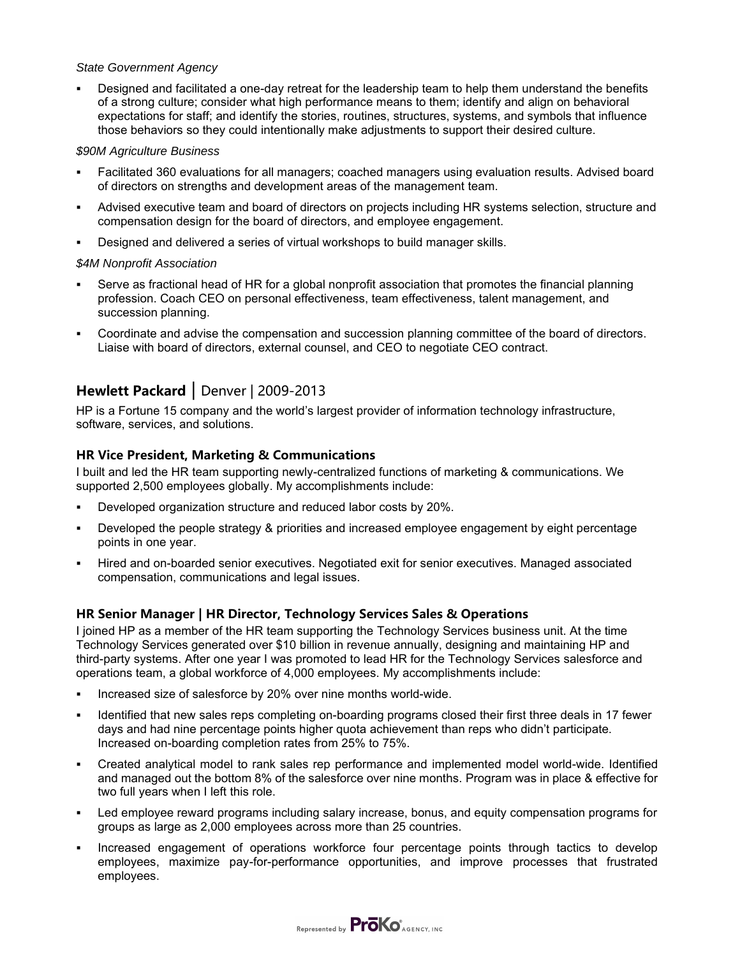#### *State Government Agency*

Designed and facilitated a one-day retreat for the leadership team to help them understand the benefits of a strong culture; consider what high performance means to them; identify and align on behavioral expectations for staff; and identify the stories, routines, structures, systems, and symbols that influence those behaviors so they could intentionally make adjustments to support their desired culture.

#### *\$90M Agriculture Business*

- Facilitated 360 evaluations for all managers; coached managers using evaluation results. Advised board of directors on strengths and development areas of the management team.
- Advised executive team and board of directors on projects including HR systems selection, structure and compensation design for the board of directors, and employee engagement.
- Designed and delivered a series of virtual workshops to build manager skills.

#### *\$4M Nonprofit Association*

- Serve as fractional head of HR for a global nonprofit association that promotes the financial planning profession. Coach CEO on personal effectiveness, team effectiveness, talent management, and succession planning.
- Coordinate and advise the compensation and succession planning committee of the board of directors. Liaise with board of directors, external counsel, and CEO to negotiate CEO contract.

# **Hewlett Packard** | Denver | 2009-2013

HP is a Fortune 15 company and the world's largest provider of information technology infrastructure, software, services, and solutions.

#### **HR Vice President, Marketing & Communications**

I built and led the HR team supporting newly-centralized functions of marketing & communications. We supported 2,500 employees globally. My accomplishments include:

- Developed organization structure and reduced labor costs by 20%.
- Developed the people strategy & priorities and increased employee engagement by eight percentage points in one year.
- Hired and on-boarded senior executives. Negotiated exit for senior executives. Managed associated compensation, communications and legal issues.

### **HR Senior Manager | HR Director, Technology Services Sales & Operations**

I joined HP as a member of the HR team supporting the Technology Services business unit. At the time Technology Services generated over \$10 billion in revenue annually, designing and maintaining HP and third-party systems. After one year I was promoted to lead HR for the Technology Services salesforce and operations team, a global workforce of 4,000 employees. My accomplishments include:

- Increased size of salesforce by 20% over nine months world-wide.
- Identified that new sales reps completing on-boarding programs closed their first three deals in 17 fewer days and had nine percentage points higher quota achievement than reps who didn't participate. Increased on-boarding completion rates from 25% to 75%.
- Created analytical model to rank sales rep performance and implemented model world-wide. Identified and managed out the bottom 8% of the salesforce over nine months. Program was in place & effective for two full years when I left this role.
- Led employee reward programs including salary increase, bonus, and equity compensation programs for groups as large as 2,000 employees across more than 25 countries.
- Increased engagement of operations workforce four percentage points through tactics to develop employees, maximize pay-for-performance opportunities, and improve processes that frustrated employees.